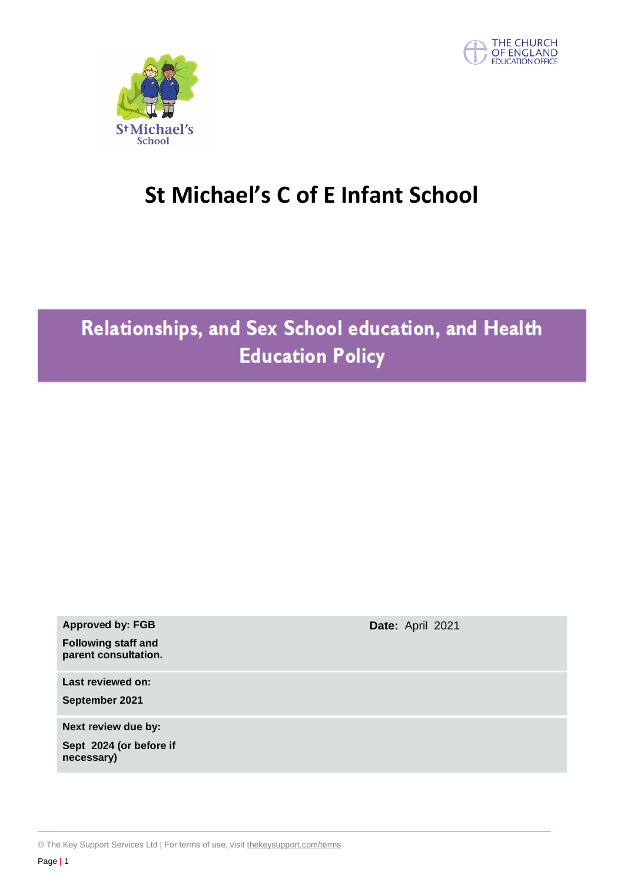



# **St Michael's C of E Infant School**

# Relationships, and Sex School education, and Health **Education Policy**

**Approved by: FGB**

**Following staff and parent consultation.**

**Last reviewed on:**

**September 2021**

**Next review due by:**

**Sept 2024 (or before if necessary)**

**Date:** April 2021

© The Key Support Services Ltd | For terms of use, visit [thekeysupport.com/terms](https://thekeysupport.com/terms-of-use)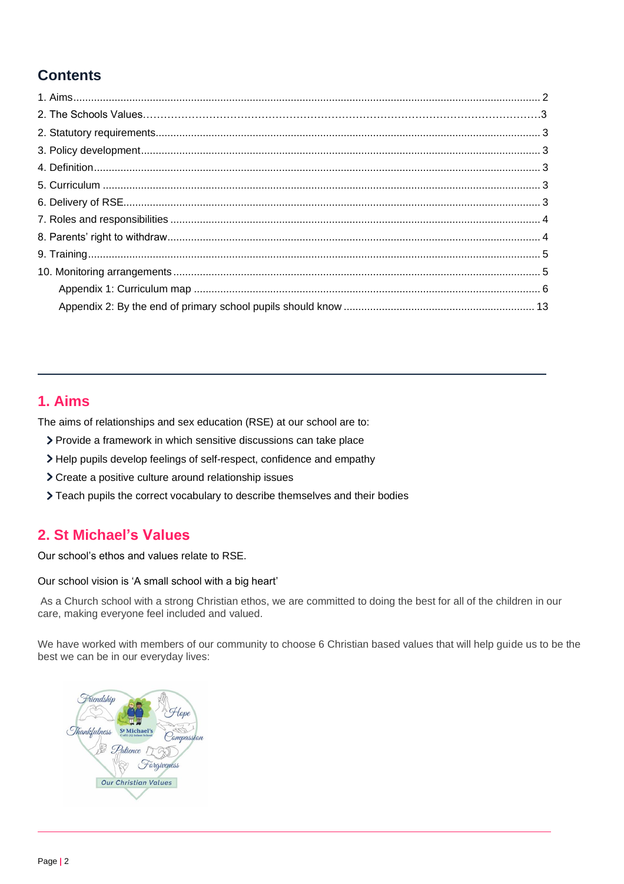# **Contents**

# <span id="page-1-0"></span>**1. Aims**

The aims of relationships and sex education (RSE) at our school are to:

- Provide a framework in which sensitive discussions can take place
- Help pupils develop feelings of self-respect, confidence and empathy
- Create a positive culture around relationship issues
- Teach pupils the correct vocabulary to describe themselves and their bodies

# **2. St Michael's Values**

Our school's ethos and values relate to RSE.

Our school vision is 'A small school with a big heart'

As a Church school with a strong Christian ethos, we are committed to doing the best for all of the children in our care, making everyone feel included and valued.

We have worked with members of our community to choose 6 Christian based values that will help guide us to be the best we can be in our everyday lives:

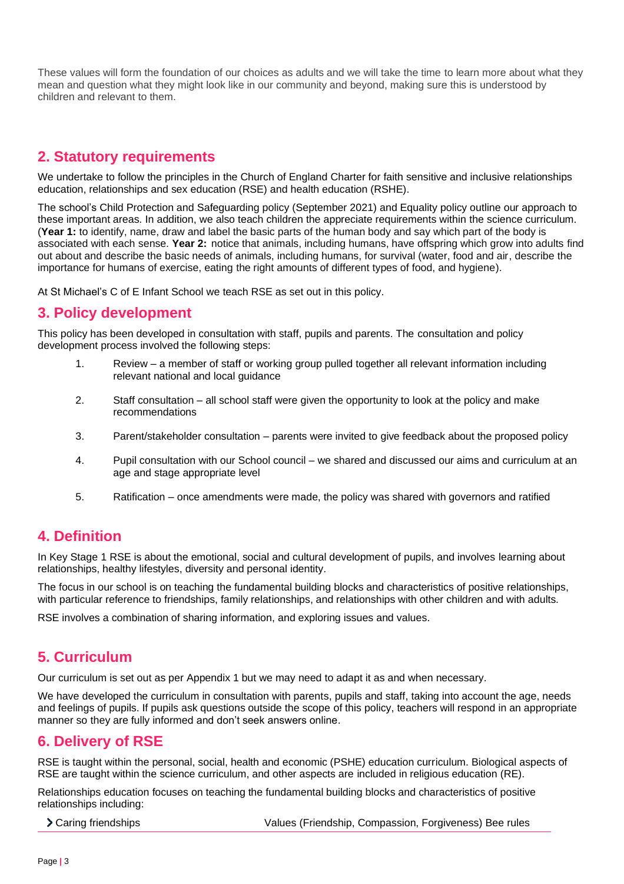These values will form the foundation of our choices as adults and we will take the time to learn more about what they mean and question what they might look like in our community and beyond, making sure this is understood by children and relevant to them.

# <span id="page-2-0"></span>**2. Statutory requirements**

We undertake to follow the principles in the Church of England Charter for faith sensitive and inclusive relationships education, relationships and sex education (RSE) and health education (RSHE).

The school's Child Protection and Safeguarding policy (September 2021) and Equality policy outline our approach to these important areas. In addition, we also teach children the appreciate requirements within the science curriculum. (**Year 1:** to identify, name, draw and label the basic parts of the human body and say which part of the body is associated with each sense. **Year 2:** notice that animals, including humans, have offspring which grow into adults find out about and describe the basic needs of animals, including humans, for survival (water, food and air, describe the importance for humans of exercise, eating the right amounts of different types of food, and hygiene).

At St Michael's C of E Infant School we teach RSE as set out in this policy.

# <span id="page-2-1"></span>**3. Policy development**

This policy has been developed in consultation with staff, pupils and parents. The consultation and policy development process involved the following steps:

- 1. Review a member of staff or working group pulled together all relevant information including relevant national and local guidance
- 2. Staff consultation all school staff were given the opportunity to look at the policy and make recommendations
- 3. Parent/stakeholder consultation parents were invited to give feedback about the proposed policy
- 4. Pupil consultation with our School council we shared and discussed our aims and curriculum at an age and stage appropriate level
- 5. Ratification once amendments were made, the policy was shared with governors and ratified

# <span id="page-2-2"></span>**4. Definition**

In Key Stage 1 RSE is about the emotional, social and cultural development of pupils, and involves learning about relationships, healthy lifestyles, diversity and personal identity.

The focus in our school is on teaching the fundamental building blocks and characteristics of positive relationships, with particular reference to friendships, family relationships, and relationships with other children and with adults.

RSE involves a combination of sharing information, and exploring issues and values.

# <span id="page-2-3"></span>**5. Curriculum**

Our curriculum is set out as per Appendix 1 but we may need to adapt it as and when necessary.

We have developed the curriculum in consultation with parents, pupils and staff, taking into account the age, needs and feelings of pupils. If pupils ask questions outside the scope of this policy, teachers will respond in an appropriate manner so they are fully informed and don't seek answers online.

# <span id="page-2-4"></span>**6. Delivery of RSE**

RSE is taught within the personal, social, health and economic (PSHE) education curriculum. Biological aspects of RSE are taught within the science curriculum, and other aspects are included in religious education (RE).

Relationships education focuses on teaching the fundamental building blocks and characteristics of positive relationships including:

Caring friendships Values (Friendship, Compassion, Forgiveness) Bee rules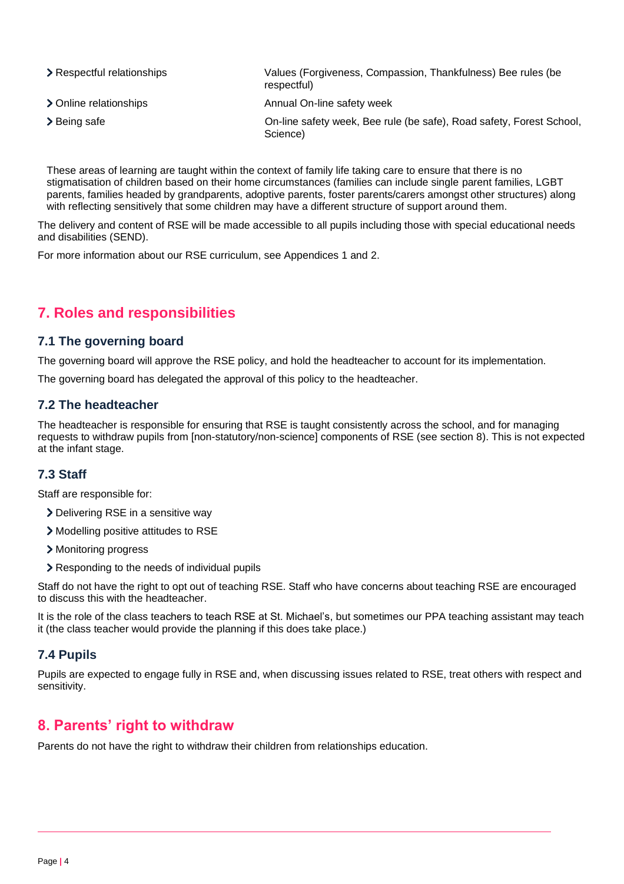| > Respectful relationships | Values (Forgiveness, Compassion, Thankfulness) Bee rules (be<br>respectful)      |
|----------------------------|----------------------------------------------------------------------------------|
| > Online relationships     | Annual On-line safety week                                                       |
| > Being safe               | On-line safety week, Bee rule (be safe), Road safety, Forest School,<br>Science) |

These areas of learning are taught within the context of family life taking care to ensure that there is no stigmatisation of children based on their home circumstances (families can include single parent families, LGBT parents, families headed by grandparents, adoptive parents, foster parents/carers amongst other structures) along with reflecting sensitively that some children may have a different structure of support around them.

The delivery and content of RSE will be made accessible to all pupils including those with special educational needs and disabilities (SEND).

For more information about our RSE curriculum, see Appendices 1 and 2.

# <span id="page-3-0"></span>**7. Roles and responsibilities**

### **7.1 The governing board**

The governing board will approve the RSE policy, and hold the headteacher to account for its implementation.

The governing board has delegated the approval of this policy to the headteacher.

### **7.2 The headteacher**

The headteacher is responsible for ensuring that RSE is taught consistently across the school, and for managing requests to withdraw pupils from [non-statutory/non-science] components of RSE (see section 8). This is not expected at the infant stage.

### **7.3 Staff**

Staff are responsible for:

- > Delivering RSE in a sensitive way
- Modelling positive attitudes to RSE
- > Monitoring progress
- Responding to the needs of individual pupils

Staff do not have the right to opt out of teaching RSE. Staff who have concerns about teaching RSE are encouraged to discuss this with the headteacher.

It is the role of the class teachers to teach RSE at St. Michael's, but sometimes our PPA teaching assistant may teach it (the class teacher would provide the planning if this does take place.)

### **7.4 Pupils**

Pupils are expected to engage fully in RSE and, when discussing issues related to RSE, treat others with respect and sensitivity.

# <span id="page-3-1"></span>**8. Parents' right to withdraw**

<span id="page-3-2"></span>Parents do not have the right to withdraw their children from relationships education.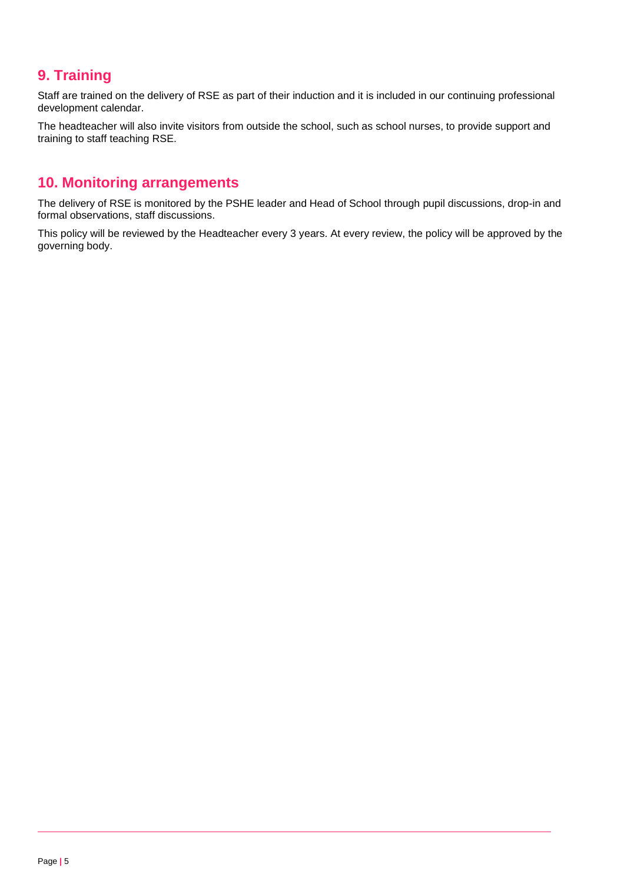# **9. Training**

Staff are trained on the delivery of RSE as part of their induction and it is included in our continuing professional development calendar.

The headteacher will also invite visitors from outside the school, such as school nurses, to provide support and training to staff teaching RSE.

# <span id="page-4-0"></span>**10. Monitoring arrangements**

The delivery of RSE is monitored by the PSHE leader and Head of School through pupil discussions, drop-in and formal observations, staff discussions.

This policy will be reviewed by the Headteacher every 3 years. At every review, the policy will be approved by the governing body.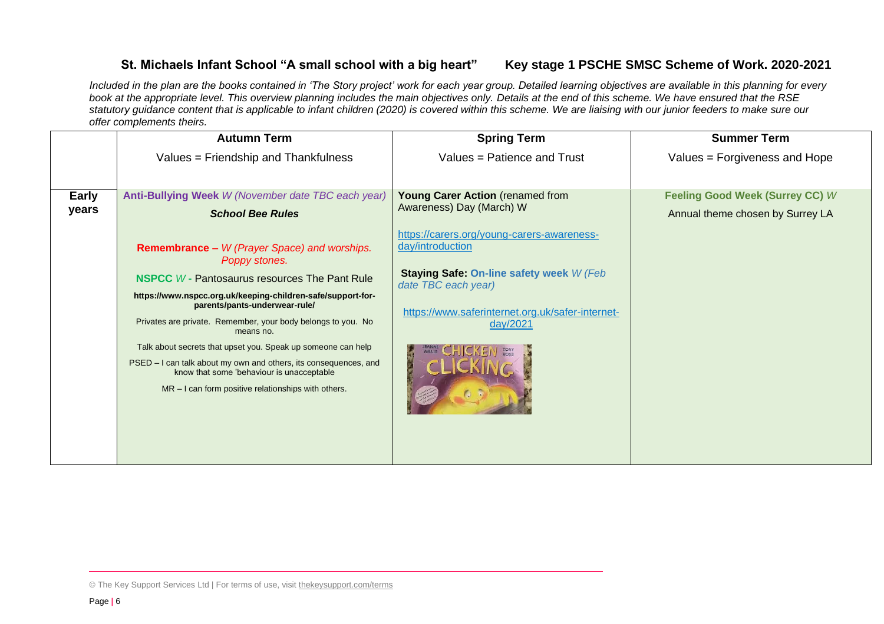### **St. Michaels Infant School "A small school with a big heart" Key stage 1 PSCHE SMSC Scheme of Work. 2020-2021**

*Included in the plan are the books contained in 'The Story project' work for each year group. Detailed learning objectives are available in this planning for every book at the appropriate level. This overview planning includes the main objectives only. Details at the end of this scheme. We have ensured that the RSE*  statutory guidance content that is applicable to infant children (2020) is covered within this scheme. We are liaising with our junior feeders to make sure our *offer complements theirs.*

|       | <b>Autumn Term</b>                                                                                            | <b>Spring Term</b>                                                      | <b>Summer Term</b>               |
|-------|---------------------------------------------------------------------------------------------------------------|-------------------------------------------------------------------------|----------------------------------|
|       | Values = Friendship and Thankfulness                                                                          | Values = Patience and Trust                                             | Values = Forgiveness and Hope    |
|       |                                                                                                               |                                                                         |                                  |
| Early | Anti-Bullying Week W (November date TBC each year)                                                            | Young Carer Action (renamed from                                        | Feeling Good Week (Surrey CC) W  |
| years | <b>School Bee Rules</b>                                                                                       | Awareness) Day (March) W                                                | Annual theme chosen by Surrey LA |
|       |                                                                                                               | https://carers.org/young-carers-awareness-                              |                                  |
|       | <b>Remembrance – W (Prayer Space) and worships.</b><br>Poppy stones.                                          | day/introduction                                                        |                                  |
|       | <b>NSPCC</b> W - Pantosaurus resources The Pant Rule                                                          | <b>Staying Safe: On-line safety week W (Feb)</b><br>date TBC each year) |                                  |
|       | https://www.nspcc.org.uk/keeping-children-safe/support-for-<br>parents/pants-underwear-rule/                  | https://www.saferinternet.org.uk/safer-internet-                        |                                  |
|       | Privates are private. Remember, your body belongs to you. No<br>means no.                                     | day/2021                                                                |                                  |
|       | Talk about secrets that upset you. Speak up someone can help                                                  |                                                                         |                                  |
|       | PSED - I can talk about my own and others, its consequences, and<br>know that some 'behaviour is unacceptable |                                                                         |                                  |
|       | $MR - I$ can form positive relationships with others.                                                         |                                                                         |                                  |
|       |                                                                                                               |                                                                         |                                  |
|       |                                                                                                               |                                                                         |                                  |
|       |                                                                                                               |                                                                         |                                  |

<sup>©</sup> The Key Support Services Ltd | For terms of use, visit [thekeysupport.com/terms](https://thekeysupport.com/terms-of-use)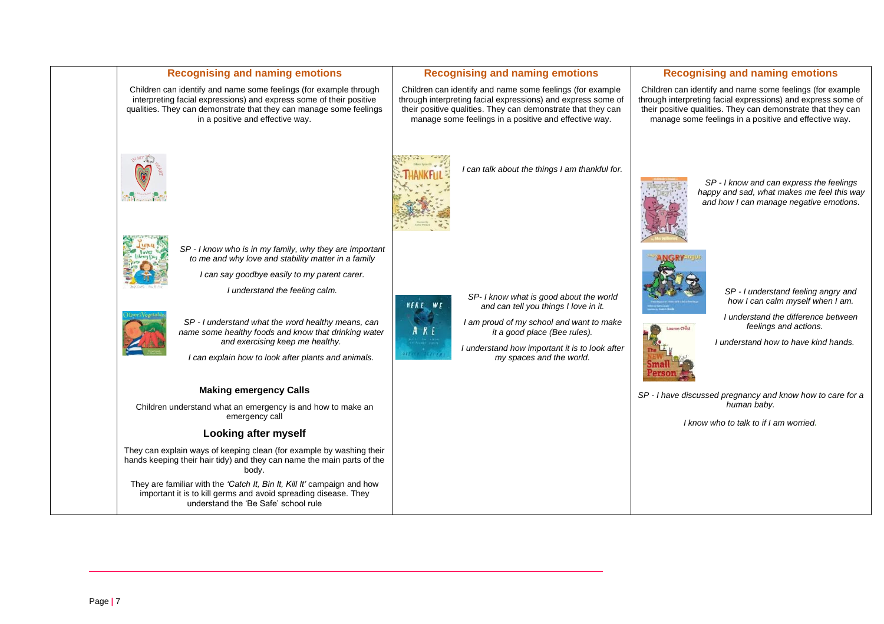| <b>Recognising and naming emotions</b>                                                                                                                                                                                                                                                                                                                                                                                                                                                         | <b>Recognising and naming emotions</b>                                                                                                                                                                                                                       | <b>Recognising and naming emotions</b>                                                                                                                                                                                                             |
|------------------------------------------------------------------------------------------------------------------------------------------------------------------------------------------------------------------------------------------------------------------------------------------------------------------------------------------------------------------------------------------------------------------------------------------------------------------------------------------------|--------------------------------------------------------------------------------------------------------------------------------------------------------------------------------------------------------------------------------------------------------------|----------------------------------------------------------------------------------------------------------------------------------------------------------------------------------------------------------------------------------------------------|
| Children can identify and name some feelings (for example through<br>interpreting facial expressions) and express some of their positive<br>qualities. They can demonstrate that they can manage some feelings<br>in a positive and effective way.                                                                                                                                                                                                                                             | Children can identify and name some feelings (for example<br>through interpreting facial expressions) and express some of<br>their positive qualities. They can demonstrate that they can<br>manage some feelings in a positive and effective way.           | Children can identify and name some feelings (for example<br>through interpreting facial expressions) and express some of<br>their positive qualities. They can demonstrate that they can<br>manage some feelings in a positive and effective way. |
|                                                                                                                                                                                                                                                                                                                                                                                                                                                                                                | I can talk about the things I am thankful for.                                                                                                                                                                                                               | SP - I know and can express the feelings<br>happy and sad, what makes me feel this way<br>and how I can manage negative emotions.                                                                                                                  |
| SP - I know who is in my family, why they are important<br>to me and why love and stability matter in a family<br>I can say goodbye easily to my parent carer.<br>I understand the feeling calm.<br>SP - I understand what the word healthy means, can<br>name some healthy foods and know that drinking water<br>and exercising keep me healthy.<br>I can explain how to look after plants and animals.                                                                                       | SP- I know what is good about the world<br>HERE WE<br>and can tell you things I love in it.<br>I am proud of my school and want to make<br>ARE<br>it a good place (Bee rules).<br>I understand how important it is to look after<br>my spaces and the world. | SP - I understand feeling angry and<br>how I can calm myself when I am.<br>I understand the difference between<br>feelings and actions.<br>Lauren Child<br>I understand how to have kind hands.                                                    |
| <b>Making emergency Calls</b><br>Children understand what an emergency is and how to make an<br>emergency call<br><b>Looking after myself</b><br>They can explain ways of keeping clean (for example by washing their<br>hands keeping their hair tidy) and they can name the main parts of the<br>bodv.<br>They are familiar with the 'Catch It, Bin It, Kill It' campaign and how<br>important it is to kill germs and avoid spreading disease. They<br>understand the 'Be Safe' school rule |                                                                                                                                                                                                                                                              | SP - I have discussed pregnancy and know how to care for a<br>human baby.<br>I know who to talk to if I am worried.                                                                                                                                |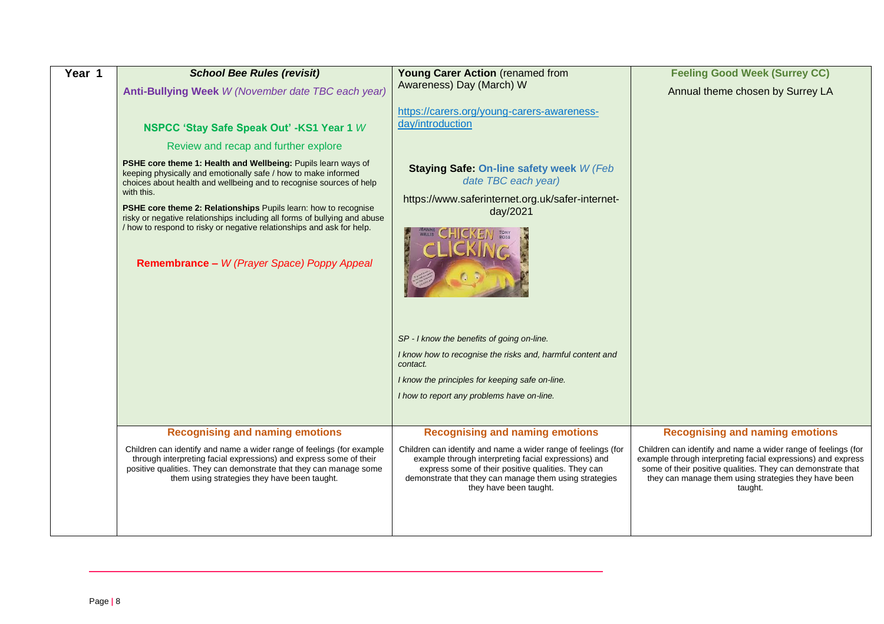| Year 1 | <b>School Bee Rules (revisit)</b><br>Anti-Bullying Week W (November date TBC each year)                                                                                                                                                                                                                                                                                                                                                                                                      | <b>Young Carer Action (renamed from</b><br>Awareness) Day (March) W                                                                                                                                                                                             | <b>Feeling Good Week (Surrey CC)</b><br>Annual theme chosen by Surrey LA                                                                                                                                                                                        |
|--------|----------------------------------------------------------------------------------------------------------------------------------------------------------------------------------------------------------------------------------------------------------------------------------------------------------------------------------------------------------------------------------------------------------------------------------------------------------------------------------------------|-----------------------------------------------------------------------------------------------------------------------------------------------------------------------------------------------------------------------------------------------------------------|-----------------------------------------------------------------------------------------------------------------------------------------------------------------------------------------------------------------------------------------------------------------|
|        | NSPCC 'Stay Safe Speak Out' -KS1 Year 1 W                                                                                                                                                                                                                                                                                                                                                                                                                                                    | https://carers.org/young-carers-awareness-<br>day/introduction                                                                                                                                                                                                  |                                                                                                                                                                                                                                                                 |
|        | Review and recap and further explore                                                                                                                                                                                                                                                                                                                                                                                                                                                         |                                                                                                                                                                                                                                                                 |                                                                                                                                                                                                                                                                 |
|        | PSHE core theme 1: Health and Wellbeing: Pupils learn ways of<br>keeping physically and emotionally safe / how to make informed<br>choices about health and wellbeing and to recognise sources of help<br>with this.<br>PSHE core theme 2: Relationships Pupils learn: how to recognise<br>risky or negative relationships including all forms of bullying and abuse<br>/ how to respond to risky or negative relationships and ask for help.<br>Remembrance - W (Prayer Space) Poppy Appeal | Staying Safe: On-line safety week W (Feb<br>date TBC each year)<br>https://www.saferinternet.org.uk/safer-internet-<br>day/2021                                                                                                                                 |                                                                                                                                                                                                                                                                 |
|        |                                                                                                                                                                                                                                                                                                                                                                                                                                                                                              | SP - I know the benefits of going on-line.<br>I know how to recognise the risks and, harmful content and<br>contact.                                                                                                                                            |                                                                                                                                                                                                                                                                 |
|        |                                                                                                                                                                                                                                                                                                                                                                                                                                                                                              | I know the principles for keeping safe on-line.                                                                                                                                                                                                                 |                                                                                                                                                                                                                                                                 |
|        |                                                                                                                                                                                                                                                                                                                                                                                                                                                                                              | I how to report any problems have on-line.                                                                                                                                                                                                                      |                                                                                                                                                                                                                                                                 |
|        |                                                                                                                                                                                                                                                                                                                                                                                                                                                                                              |                                                                                                                                                                                                                                                                 |                                                                                                                                                                                                                                                                 |
|        | <b>Recognising and naming emotions</b>                                                                                                                                                                                                                                                                                                                                                                                                                                                       | <b>Recognising and naming emotions</b>                                                                                                                                                                                                                          | <b>Recognising and naming emotions</b>                                                                                                                                                                                                                          |
|        | Children can identify and name a wider range of feelings (for example<br>through interpreting facial expressions) and express some of their<br>positive qualities. They can demonstrate that they can manage some<br>them using strategies they have been taught.                                                                                                                                                                                                                            | Children can identify and name a wider range of feelings (for<br>example through interpreting facial expressions) and<br>express some of their positive qualities. They can<br>demonstrate that they can manage them using strategies<br>they have been taught. | Children can identify and name a wider range of feelings (for<br>example through interpreting facial expressions) and express<br>some of their positive qualities. They can demonstrate that<br>they can manage them using strategies they have been<br>taught. |
|        |                                                                                                                                                                                                                                                                                                                                                                                                                                                                                              |                                                                                                                                                                                                                                                                 |                                                                                                                                                                                                                                                                 |

 $\mathbf{I}$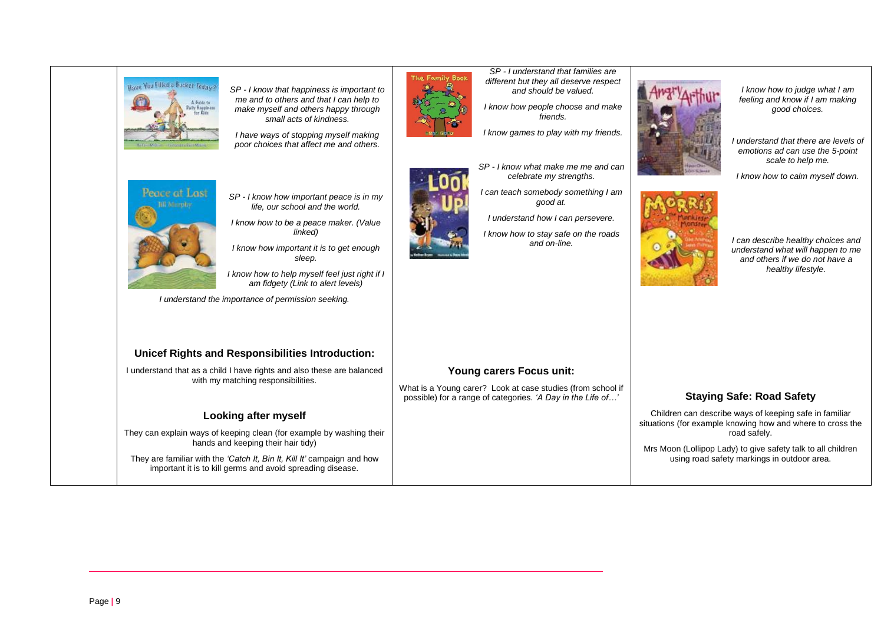

*SP - I know that happiness is important to me and to others and that I can help to make myself and others happy through small acts of kindness.* 

*I have ways of stopping myself making poor choices that affect me and others.* 

*SP - I know how important peace is in my life, our school and the world. I know how to be a peace maker. (Value linked) I know how important it is to get enough sleep. I know how to help myself feel just right if I am fidgety (Link to alert levels)*



*SP - I understand that families are different but they all deserve respect and should be valued.*

*I know how people choose and make friends.*

*I know games to play with my friends.*

- *SP - I know what make me me and can celebrate my strengths.*
- *I can teach somebody something I am good at.*
- *I understand how I can persevere.*
- *I know how to stay safe on the roads and on-line.*



*I know how to judge what I am feeling and know if I am making good choices.*

*I understand that there are levels of emotions ad can use the 5-point scale to help me.*

*I know how to calm myself down.*



*I can describe healthy choices and understand what will happen to me and others if we do not have a healthy lifestyle.*

# **Young carers Focus unit:**

possible) for a range of categories. *'A Day in the Life of…'*



What is a Young carer? Look at case studies (from school if

### **Looking after myself**

**Unicef Rights and Responsibilities Introduction:** I understand that as a child I have rights and also these are balanced with my matching responsibilities.

They can explain ways of keeping clean (for example by washing their hands and keeping their hair tidy)

They are familiar with the *'Catch It, Bin It, Kill It'* campaign and how important it is to kill germs and avoid spreading disease.

#### **Staying Safe: Road Safety**

Children can describe ways of keeping safe in familiar situations (for example knowing how and where to cross the road safely.

Mrs Moon (Lollipop Lady) to give safety talk to all children using road safety markings in outdoor area.

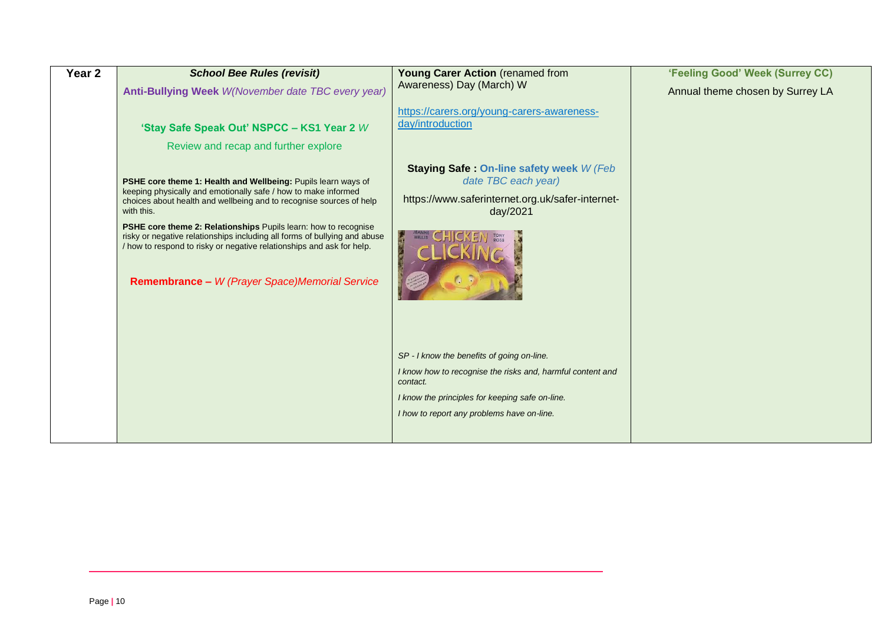| Year 2 | <b>School Bee Rules (revisit)</b>                                                                                                                                                                                     | Young Carer Action (renamed from                                                                                                        | 'Feeling Good' Week (Surrey CC)  |
|--------|-----------------------------------------------------------------------------------------------------------------------------------------------------------------------------------------------------------------------|-----------------------------------------------------------------------------------------------------------------------------------------|----------------------------------|
|        | Anti-Bullying Week W(November date TBC every year)                                                                                                                                                                    | Awareness) Day (March) W                                                                                                                | Annual theme chosen by Surrey LA |
|        | 'Stay Safe Speak Out' NSPCC - KS1 Year 2 W<br>Review and recap and further explore                                                                                                                                    | https://carers.org/young-carers-awareness-<br>day/introduction                                                                          |                                  |
|        | PSHE core theme 1: Health and Wellbeing: Pupils learn ways of<br>keeping physically and emotionally safe / how to make informed<br>choices about health and wellbeing and to recognise sources of help<br>with this.  | <b>Staying Safe: On-line safety week W (Feb)</b><br>date TBC each year)<br>https://www.saferinternet.org.uk/safer-internet-<br>day/2021 |                                  |
|        | PSHE core theme 2: Relationships Pupils learn: how to recognise<br>risky or negative relationships including all forms of bullying and abuse<br>/ how to respond to risky or negative relationships and ask for help. |                                                                                                                                         |                                  |
|        | Remembrance - W (Prayer Space)Memorial Service                                                                                                                                                                        |                                                                                                                                         |                                  |
|        |                                                                                                                                                                                                                       | SP - I know the benefits of going on-line.                                                                                              |                                  |
|        |                                                                                                                                                                                                                       | I know how to recognise the risks and, harmful content and<br>contact.                                                                  |                                  |
|        |                                                                                                                                                                                                                       | I know the principles for keeping safe on-line.                                                                                         |                                  |
|        |                                                                                                                                                                                                                       | I how to report any problems have on-line.                                                                                              |                                  |
|        |                                                                                                                                                                                                                       |                                                                                                                                         |                                  |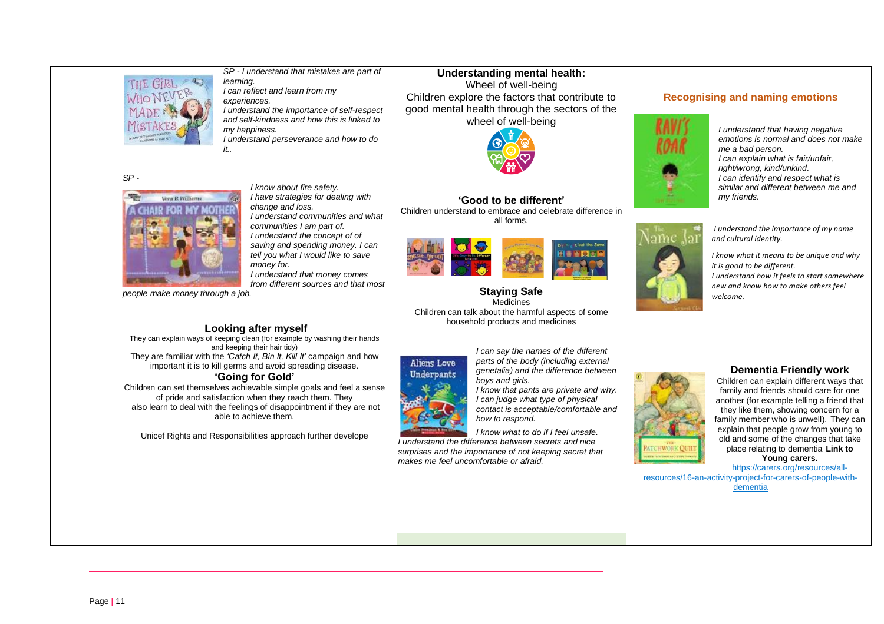

*SP - I understand that mistakes are part of learning. I can reflect and learn from my experiences. I understand the importance of self-respect and self-kindness and how this is linked to my happiness. I understand perseverance and how to do it..*

*SP -*



*I know about fire safety. I have strategies for dealing with change and loss. I understand communities and what communities I am part of. I understand the concept of of saving and spending money. I can tell you what I would like to save money for. I understand that money comes from different sources and that most* 

*people make money through a job.*

#### **Looking after myself**

They can explain ways of keeping clean (for example by washing their hands and keeping their hair tidy) They are familiar with the *'Catch It, Bin It, Kill It'* campaign and how important it is to kill germs and avoid spreading disease. **'Going for Gold'**

Children can set themselves achievable simple goals and feel a sense of pride and satisfaction when they reach them. They also learn to deal with the feelings of disappointment if they are not able to achieve them.

Unicef Rights and Responsibilities approach further develope

#### **Understanding mental health:** Wheel of well-being Children explore the factors that contribute to good mental health through the sectors of the wheel of well-being



**'Good to be different'** Children understand to embrace and celebrate difference in all forms.



**Staying Safe Medicines** Children can talk about the harmful aspects of some household products and medicines

> *I can say the names of the different parts of the body (including external genetalia) and the difference between boys and girls.*

> *I know that pants are private and why. I can judge what type of physical contact is acceptable/comfortable and how to respond.*

*I know what to do if I feel unsafe. I understand the difference between secrets and nice surprises and the importance of not keeping secret that makes me feel uncomfortable or afraid.*

#### **Recognising and naming emotions**



*I understand that having negative emotions is normal and does not make me a bad person. I can explain what is fair/unfair, right/wrong, kind/unkind. I can identify and respect what is similar and different between me and my friends.*



*I understand the importance of my name and cultural identity.*

*I know what it means to be unique and why it is good to be different. I understand how it feels to start somewhere new and know how to make others feel welcome.*

#### **Dementia Friendly work**



Children can explain different ways that family and friends should care for one another (for example telling a friend that they like them, showing concern for a family member who is unwell). They can explain that people grow from young to old and some of the changes that take place relating to dementia **Link to Young carers.** [https://carers.org/resources/all-](https://carers.org/resources/all-resources/16-an-activity-project-for-carers-of-people-with-dementia)

[resources/16-an-activity-project-for-carers-of-people-with](https://carers.org/resources/all-resources/16-an-activity-project-for-carers-of-people-with-dementia)**[dementia](https://carers.org/resources/all-resources/16-an-activity-project-for-carers-of-people-with-dementia)** 

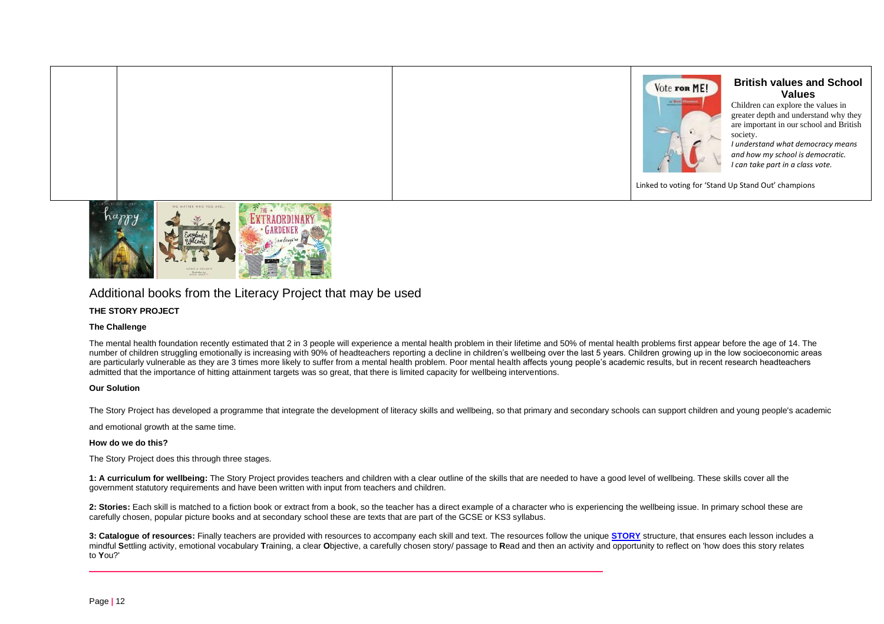



### Additional books from the Literacy Project that may be used

#### **THE STORY PROJECT**

#### **The Challenge**

The mental health foundation recently estimated that 2 in 3 people will experience a mental health problem in their lifetime and 50% of mental health problems first appear before the age of 14. The number of children struggling emotionally is increasing with 90% of headteachers reporting a decline in children's wellbeing over the last 5 years. Children growing up in the low socioeconomic areas are particularly vulnerable as they are 3 times more likely to suffer from a mental health problem. Poor mental health affects young people's academic results, but in recent research headteachers admitted that the importance of hitting attainment targets was so great, that there is limited capacity for wellbeing interventions.

#### **Our Solution**

The Story Project has developed a programme that integrate the development of literacy skills and wellbeing, so that primary and secondary schools can support children and young people's academic

and emotional growth at the same time.

#### **How do we do this?**

The Story Project does this through three stages.

1: A curriculum for wellbeing: The Story Project provides teachers and children with a clear outline of the skills that are needed to have a good level of wellbeing. These skills cover all the government statutory requirements and have been written with input from teachers and children.

**2: Stories:** Each skill is matched to a fiction book or extract from a book, so the teacher has a direct example of a character who is experiencing the wellbeing issue. In primary school these are carefully chosen, popular picture books and at secondary school these are texts that are part of the GCSE or KS3 syllabus.

3: Catalogue of resources: Finally teachers are provided with resources to accompany each skill and text. The resources follow the unique [STORY](https://www.story-project.co.uk/projects) structure, that ensures each lesson includes a mindful Settling activity, emotional vocabulary Training, a clear Objective, a carefully chosen story/ passage to Read and then an activity and opportunity to reflect on 'how does this story relates to **Y**ou?'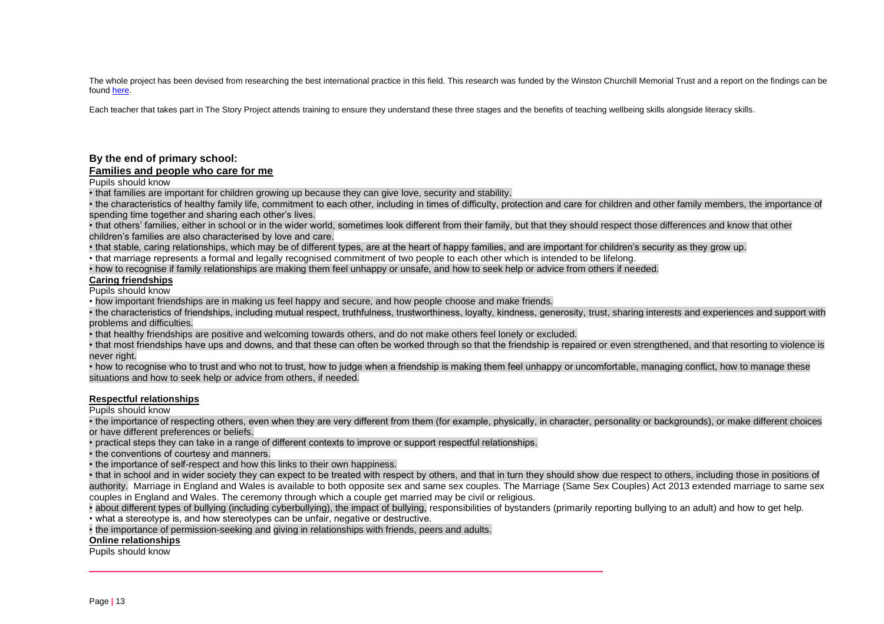The whole project has been devised from researching the best international practice in this field. This research was funded by the Winston Churchill Memorial Trust and a report on the findings can be found [here.](https://www.wcmt.org.uk/sites/default/files/report-documents/Richards%20O%20Report%202016%20Final.pdf)

Each teacher that takes part in The Story Project attends training to ensure they understand these three stages and the benefits of teaching wellbeing skills alongside literacy skills.

#### **By the end of primary school: Families and people who care for me**

Pupils should know

• that families are important for children growing up because they can give love, security and stability.

• the characteristics of healthy family life, commitment to each other, including in times of difficulty, protection and care for children and other family members, the importance of spending time together and sharing each other's lives.

• that others' families, either in school or in the wider world, sometimes look different from their family, but that they should respect those differences and know that other children's families are also characterised by love and care.

• that stable, caring relationships, which may be of different types, are at the heart of happy families, and are important for children's security as they grow up.

• that marriage represents a formal and legally recognised commitment of two people to each other which is intended to be lifelong.

• how to recognise if family relationships are making them feel unhappy or unsafe, and how to seek help or advice from others if needed.

#### **Caring friendships**

Pupils should know

• how important friendships are in making us feel happy and secure, and how people choose and make friends.

• the characteristics of friendships, including mutual respect, truthfulness, trustworthiness, loyalty, kindness, generosity, trust, sharing interests and experiences and support with problems and difficulties.

• that healthy friendships are positive and welcoming towards others, and do not make others feel lonely or excluded.

• that most friendships have ups and downs, and that these can often be worked through so that the friendship is repaired or even strengthened, and that resorting to violence is never right.

• how to recognise who to trust and who not to trust, how to judge when a friendship is making them feel unhappy or uncomfortable, managing conflict, how to manage these situations and how to seek help or advice from others, if needed.

#### **Respectful relationships**

Pupils should know

• the importance of respecting others, even when they are very different from them (for example, physically, in character, personality or backgrounds), or make different choices or have different preferences or beliefs.

• practical steps they can take in a range of different contexts to improve or support respectful relationships.

• the conventions of courtesy and manners.

• the importance of self-respect and how this links to their own happiness.

• that in school and in wider society they can expect to be treated with respect by others, and that in turn they should show due respect to others, including those in positions of authority. Marriage in England and Wales is available to both opposite sex and same sex couples. The Marriage (Same Sex Couples) Act 2013 extended marriage to same sex couples in England and Wales. The ceremony through which a couple get married may be civil or religious.

• about different types of bullying (including cyberbullying), the impact of bullying, responsibilities of bystanders (primarily reporting bullying to an adult) and how to get help.

• what a stereotype is, and how stereotypes can be unfair, negative or destructive.

• the importance of permission-seeking and giving in relationships with friends, peers and adults.

#### **Online relationships**

Pupils should know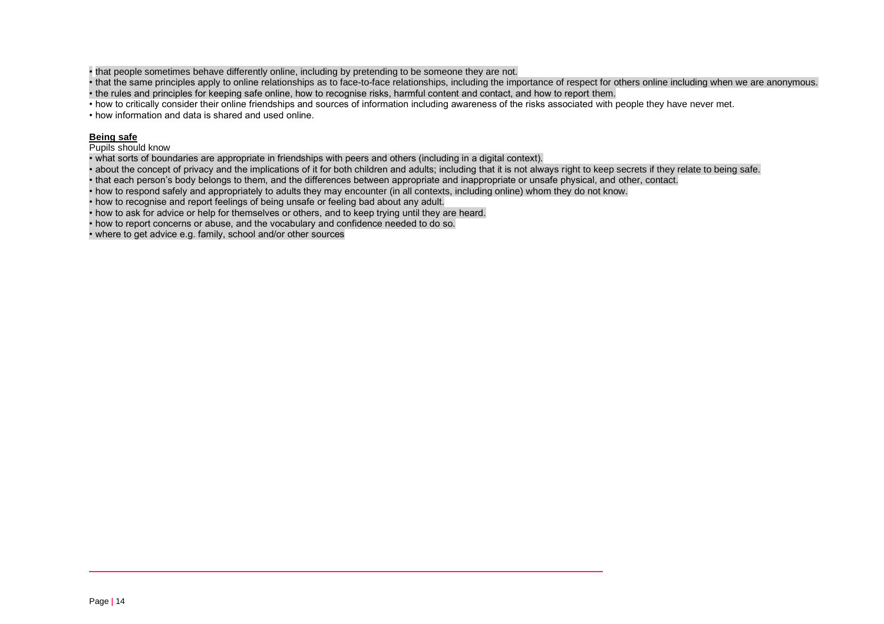• that people sometimes behave differently online, including by pretending to be someone they are not.

• that the same principles apply to online relationships as to face-to-face relationships, including the importance of respect for others online including when we are anonymous. • the rules and principles for keeping safe online, how to recognise risks, harmful content and contact, and how to report them.

• how to critically consider their online friendships and sources of information including awareness of the risks associated with people they have never met.

• how information and data is shared and used online.

#### **Being safe**

Pupils should know

• what sorts of boundaries are appropriate in friendships with peers and others (including in a digital context).

• about the concept of privacy and the implications of it for both children and adults; including that it is not always right to keep secrets if they relate to being safe.

• that each person's body belongs to them, and the differences between appropriate and inappropriate or unsafe physical, and other, contact.

• how to respond safely and appropriately to adults they may encounter (in all contexts, including online) whom they do not know.

• how to recognise and report feelings of being unsafe or feeling bad about any adult.

• how to ask for advice or help for themselves or others, and to keep trying until they are heard.

• how to report concerns or abuse, and the vocabulary and confidence needed to do so.

• where to get advice e.g. family, school and/or other sources